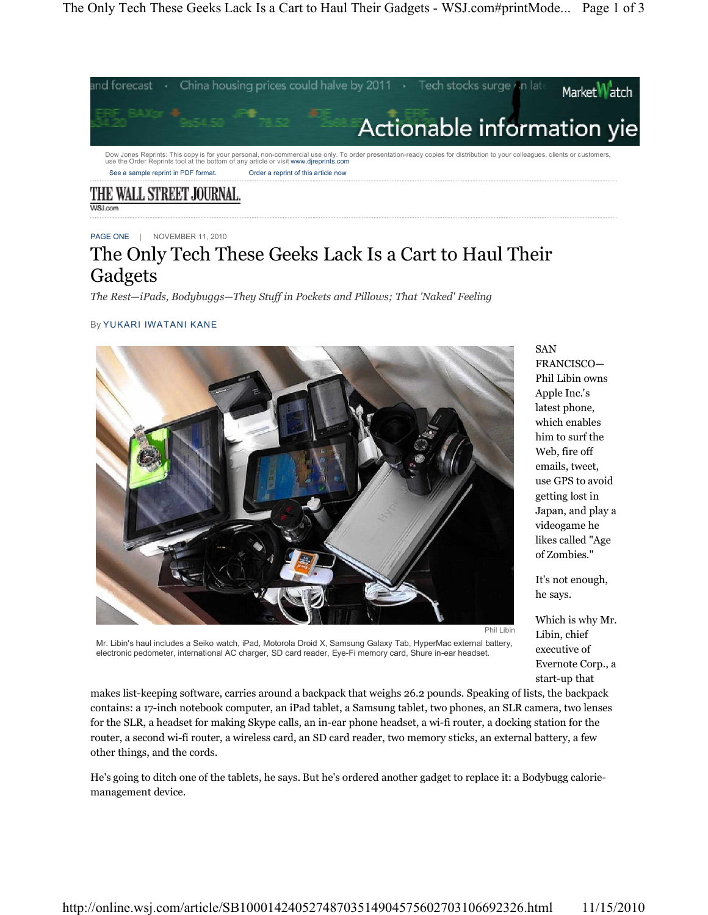

THE WALL STREET JOURNAL.

PAGE ONE | NOVEMBER 11, 2010

## The Only Tech These Geeks Lack Is a Cart to Haul Their Gadgets

*The Rest²iPads, Bodybuggs²They Stuff in Pockets and Pillows; That 'Naked' Feeling*

## By YUKARI IWATANI KANE



SAN FRANCISCO-Phil Libin owns Apple Inc.'s latest phone, which enables him to surf the Web, fire off emails, tweet, use GPS to avoid getting lost in Japan, and play a videogame he likes called "Age of Zombies."

It's not enough, he says.

Which is why Mr. Libin, chief executive of Evernote Corp., a start-up that

Mr. Libin's haul includes a Seiko watch, iPad, Motorola Droid X, Samsung Galaxy Tab, HyperMac external battery, electronic pedometer, international AC charger, SD card reader, Eye-Fi memory card, Shure in-ear headset.

makes list-keeping software, carries around a backpack that weighs 26.2 pounds. Speaking of lists, the backpack contains: a 17-inch notebook computer, an iPad tablet, a Samsung tablet, two phones, an SLR camera, two lenses for the SLR, a headset for making Skype calls, an in-ear phone headset, a wi-fi router, a docking station for the router, a second wi-fi router, a wireless card, an SD card reader, two memory sticks, an external battery, a few other things, and the cords.

He's going to ditch one of the tablets, he says. But he's ordered another gadget to replace it: a Bodybugg caloriemanagement device.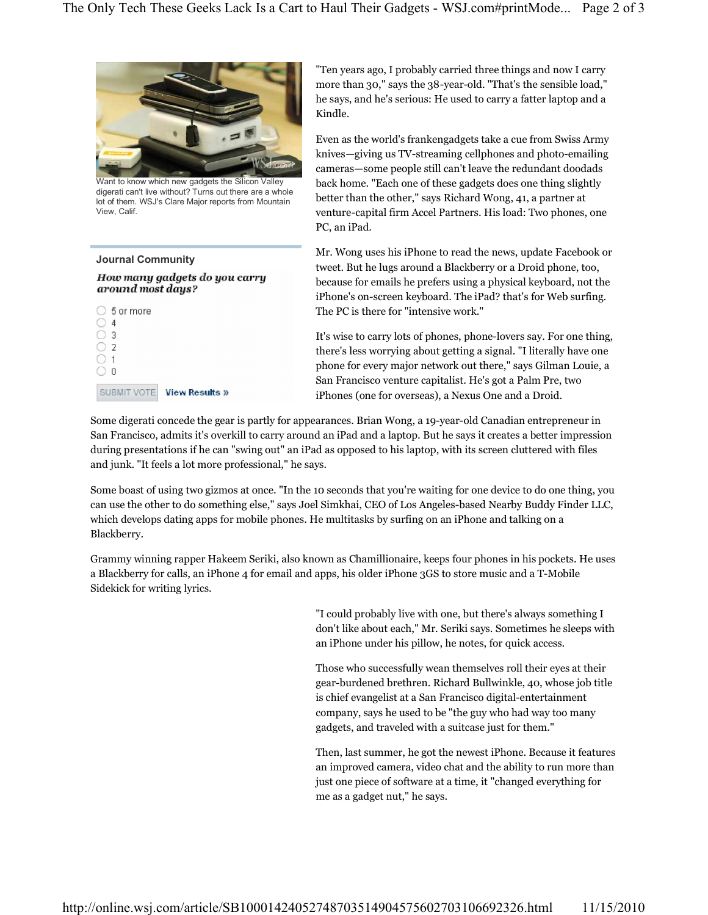

Want to know which new gadgets the Silicon Valley digerati can't live without? Turns out there are a whole lot of them. WSJ's Clare Major reports from Mountain View, Calif.

## **Journal Community** How many gadgets do you carry around most days?  $\bigcirc$  5 or more



"Ten years ago, I probably carried three things and now I carry more than 30," says the 38-year-old. "That's the sensible load," he says, and he's serious: He used to carry a fatter laptop and a Kindle.

Even as the world's frankengadgets take a cue from Swiss Army knives—giving us TV-streaming cellphones and photo-emailing cameras-some people still can't leave the redundant doodads back home. "Each one of these gadgets does one thing slightly better than the other," says Richard Wong, 41, a partner at venture-capital firm Accel Partners. His load: Two phones, one PC, an iPad.

Mr. Wong uses his iPhone to read the news, update Facebook or tweet. But he lugs around a Blackberry or a Droid phone, too, because for emails he prefers using a physical keyboard, not the iPhone's on-screen keyboard. The iPad? that's for Web surfing. The PC is there for "intensive work."

It's wise to carry lots of phones, phone-lovers say. For one thing, there's less worrying about getting a signal. "I literally have one phone for every major network out there," says Gilman Louie, a San Francisco venture capitalist. He's got a Palm Pre, two iPhones (one for overseas), a Nexus One and a Droid.

Some digerati concede the gear is partly for appearances. Brian Wong, a 19-year-old Canadian entrepreneur in San Francisco, admits it's overkill to carry around an iPad and a laptop. But he says it creates a better impression during presentations if he can "swing out" an iPad as opposed to his laptop, with its screen cluttered with files and junk. "It feels a lot more professional," he says.

Some boast of using two gizmos at once. "In the 10 seconds that you're waiting for one device to do one thing, you can use the other to do something else," says Joel Simkhai, CEO of Los Angeles-based Nearby Buddy Finder LLC, which develops dating apps for mobile phones. He multitasks by surfing on an iPhone and talking on a Blackberry.

Grammy winning rapper Hakeem Seriki, also known as Chamillionaire, keeps four phones in his pockets. He uses a Blackberry for calls, an iPhone 4 for email and apps, his older iPhone 3GS to store music and a T-Mobile Sidekick for writing lyrics.

> "I could probably live with one, but there's always something I don't like about each," Mr. Seriki says. Sometimes he sleeps with an iPhone under his pillow, he notes, for quick access.

> Those who successfully wean themselves roll their eyes at their gear-burdened brethren. Richard Bullwinkle, 40, whose job title is chief evangelist at a San Francisco digital-entertainment company, says he used to be "the guy who had way too many gadgets, and traveled with a suitcase just for them."

Then, last summer, he got the newest iPhone. Because it features an improved camera, video chat and the ability to run more than just one piece of software at a time, it "changed everything for me as a gadget nut," he says.